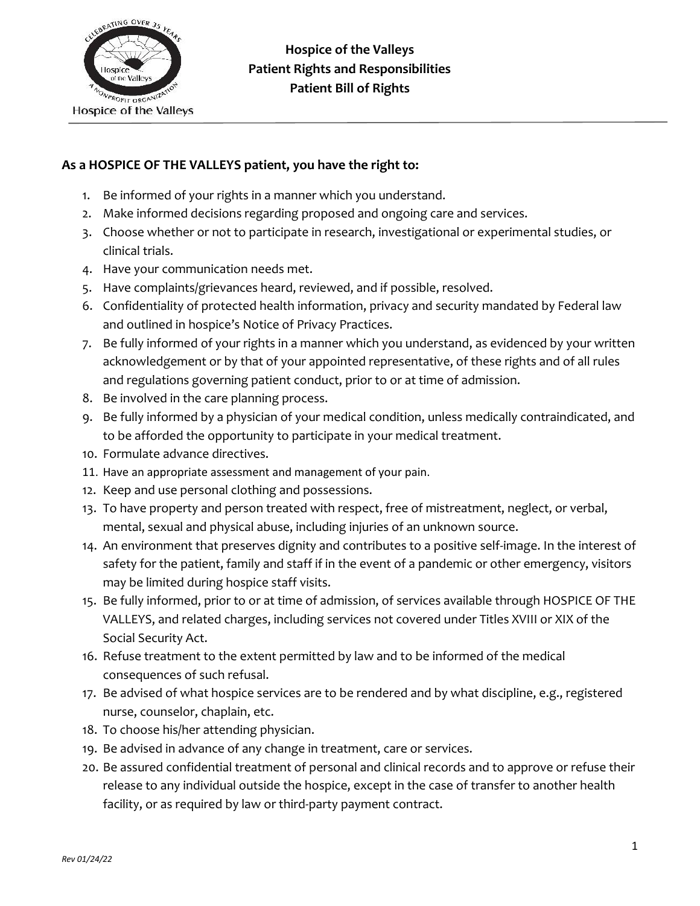

### **As a HOSPICE OF THE VALLEYS patient, you have the right to:**

- 1. Be informed of your rights in a manner which you understand.
- 2. Make informed decisions regarding proposed and ongoing care and services.
- 3. Choose whether or not to participate in research, investigational or experimental studies, or clinical trials.
- 4. Have your communication needs met.
- 5. Have complaints/grievances heard, reviewed, and if possible, resolved.
- 6. Confidentiality of protected health information, privacy and security mandated by Federal law and outlined in hospice's Notice of Privacy Practices.
- 7. Be fully informed of your rights in a manner which you understand, as evidenced by your written acknowledgement or by that of your appointed representative, of these rights and of all rules and regulations governing patient conduct, prior to or at time of admission.
- 8. Be involved in the care planning process.
- 9. Be fully informed by a physician of your medical condition, unless medically contraindicated, and to be afforded the opportunity to participate in your medical treatment.
- 10. Formulate advance directives.
- 11. Have an appropriate assessment and management of your pain.
- 12. Keep and use personal clothing and possessions.
- 13. To have property and person treated with respect, free of mistreatment, neglect, or verbal, mental, sexual and physical abuse, including injuries of an unknown source.
- 14. An environment that preserves dignity and contributes to a positive self-image. In the interest of safety for the patient, family and staff if in the event of a pandemic or other emergency, visitors may be limited during hospice staff visits.
- 15. Be fully informed, prior to or at time of admission, of services available through HOSPICE OF THE VALLEYS, and related charges, including services not covered under Titles XVIII or XIX of the Social Security Act.
- 16. Refuse treatment to the extent permitted by law and to be informed of the medical consequences of such refusal.
- 17. Be advised of what hospice services are to be rendered and by what discipline, e.g., registered nurse, counselor, chaplain, etc.
- 18. To choose his/her attending physician.
- 19. Be advised in advance of any change in treatment, care or services.
- 20. Be assured confidential treatment of personal and clinical records and to approve or refuse their release to any individual outside the hospice, except in the case of transfer to another health facility, or as required by law or third-party payment contract.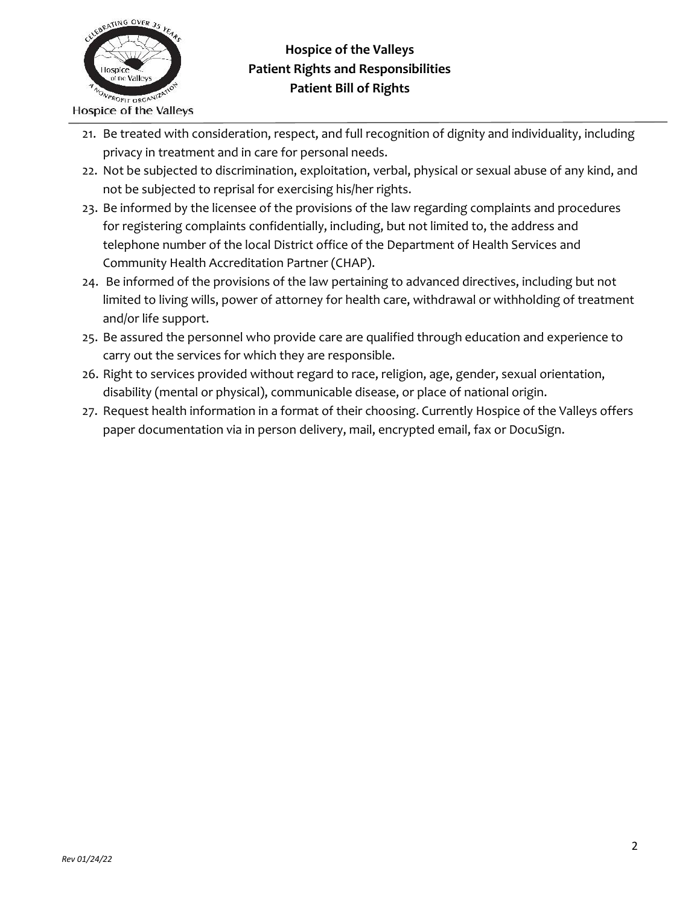

# **Hospice of the Valleys Patient Rights and Responsibilities Patient Bill of Rights**

- 21. Be treated with consideration, respect, and full recognition of dignity and individuality, including privacy in treatment and in care for personal needs.
- 22. Not be subjected to discrimination, exploitation, verbal, physical or sexual abuse of any kind, and not be subjected to reprisal for exercising his/her rights.
- 23. Be informed by the licensee of the provisions of the law regarding complaints and procedures for registering complaints confidentially, including, but not limited to, the address and telephone number of the local District office of the Department of Health Services and Community Health Accreditation Partner (CHAP).
- 24. Be informed of the provisions of the law pertaining to advanced directives, including but not limited to living wills, power of attorney for health care, withdrawal or withholding of treatment and/or life support.
- 25. Be assured the personnel who provide care are qualified through education and experience to carry out the services for which they are responsible.
- 26. Right to services provided without regard to race, religion, age, gender, sexual orientation, disability (mental or physical), communicable disease, or place of national origin.
- 27. Request health information in a format of their choosing. Currently Hospice of the Valleys offers paper documentation via in person delivery, mail, encrypted email, fax or DocuSign.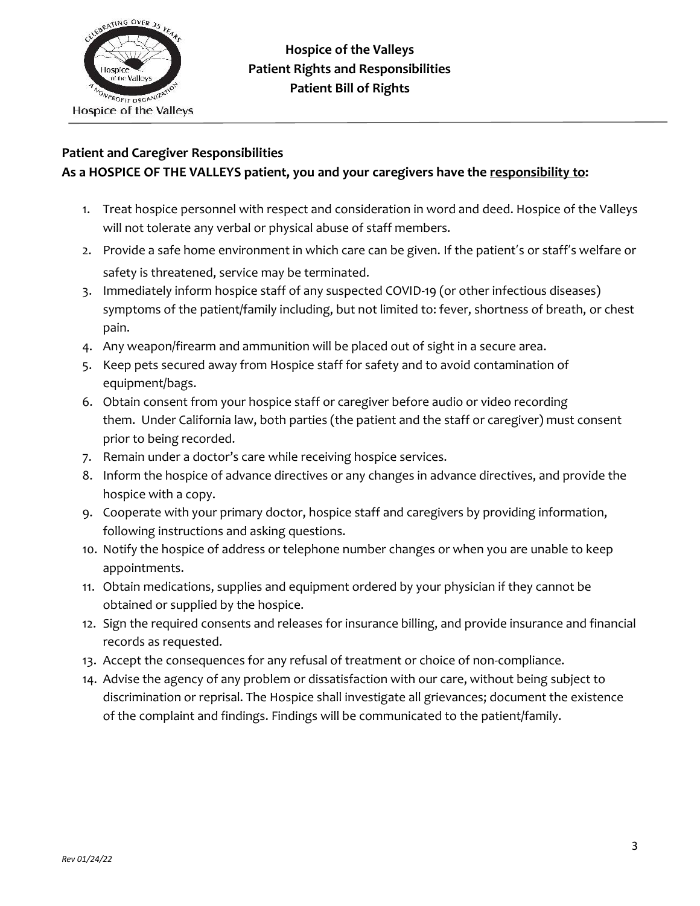

### **Patient and Caregiver Responsibilities**

## **As a HOSPICE OF THE VALLEYS patient, you and your caregivers have the responsibility to:**

- 1. Treat hospice personnel with respect and consideration in word and deed. Hospice of the Valleys will not tolerate any verbal or physical abuse of staff members.
- 2. Provide a safe home environment in which care can be given. If the patient's or staff's welfare or safety is threatened, service may be terminated.
- 3. Immediately inform hospice staff of any suspected COVID-19 (or other infectious diseases) symptoms of the patient/family including, but not limited to: fever, shortness of breath, or chest pain.
- 4. Any weapon/firearm and ammunition will be placed out of sight in a secure area.
- 5. Keep pets secured away from Hospice staff for safety and to avoid contamination of equipment/bags.
- 6. Obtain consent from your hospice staff or caregiver before audio or video recording them. Under California law, both parties (the patient and the staff or caregiver) must consent prior to being recorded.
- 7. Remain under a doctor's care while receiving hospice services.
- 8. Inform the hospice of advance directives or any changes in advance directives, and provide the hospice with a copy.
- 9. Cooperate with your primary doctor, hospice staff and caregivers by providing information, following instructions and asking questions.
- 10. Notify the hospice of address or telephone number changes or when you are unable to keep appointments.
- 11. Obtain medications, supplies and equipment ordered by your physician if they cannot be obtained or supplied by the hospice.
- 12. Sign the required consents and releases for insurance billing, and provide insurance and financial records as requested.
- 13. Accept the consequences for any refusal of treatment or choice of non-compliance.
- 14. Advise the agency of any problem or dissatisfaction with our care, without being subject to discrimination or reprisal. The Hospice shall investigate all grievances; document the existence of the complaint and findings. Findings will be communicated to the patient/family.